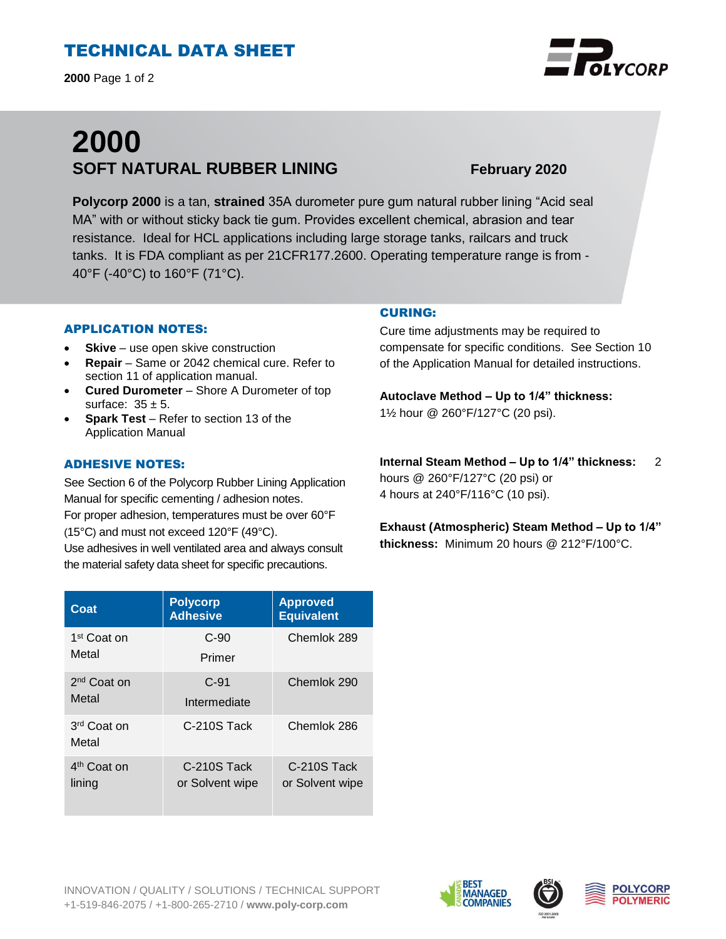# TECHNICAL DATA SHEET

**2000** Page 1 of 2

# **2000 SOFT NATURAL RUBBER LINING February 2020**

**Polycorp 2000** is a tan, **strained** 35A durometer pure gum natural rubber lining "Acid seal MA" with or without sticky back tie gum. Provides excellent chemical, abrasion and tear resistance. Ideal for HCL applications including large storage tanks, railcars and truck tanks. It is FDA compliant as per 21CFR177.2600. Operating temperature range is from - 40°F (-40°C) to 160°F (71°C).

### APPLICATION NOTES:

- **Skive** use open skive construction
- **Repair**  Same or 2042 chemical cure. Refer to section 11 of application manual.
- **Cured Durometer**  Shore A Durometer of top surface:  $35 \pm 5$ .
- **Spark Test**  Refer to section 13 of the Application Manual

#### ADHESIVE NOTES:

See Section 6 of the Polycorp Rubber Lining Application Manual for specific cementing / adhesion notes. For proper adhesion, temperatures must be over 60°F (15°C) and must not exceed 120°F (49°C). Use adhesives in well ventilated area and always consult the material safety data sheet for specific precautions.

| Coat                             | <b>Polycorp</b><br><b>Adhesive</b> | <b>Approved</b><br><b>Equivalent</b> |
|----------------------------------|------------------------------------|--------------------------------------|
| 1 <sup>st</sup> Coat on          | $C-90$                             | Chemlok 289                          |
| Metal                            | Primer                             |                                      |
| $2nd$ Coat on<br>Metal           | $C-91$                             | Chemlok 290                          |
|                                  | Intermediate                       |                                      |
| 3 <sup>rd</sup> Coat on<br>Metal | C-210S Tack                        | Chemlok 286                          |
| 4 <sup>th</sup> Coat on          | C-210S Tack                        | C-210S Tack                          |
| lining                           | or Solvent wipe                    | or Solvent wipe                      |

#### CURING:

Cure time adjustments may be required to compensate for specific conditions. See Section 10 of the Application Manual for detailed instructions.

**Autoclave Method – Up to 1/4" thickness:**  1½ hour @ 260°F/127°C (20 psi).

**Internal Steam Method – Up to 1/4" thickness:** 2 hours @ 260°F/127°C (20 psi) or 4 hours at 240°F/116°C (10 psi).

**Exhaust (Atmospheric) Steam Method – Up to 1/4" thickness:** Minimum 20 hours @ 212°F/100°C.